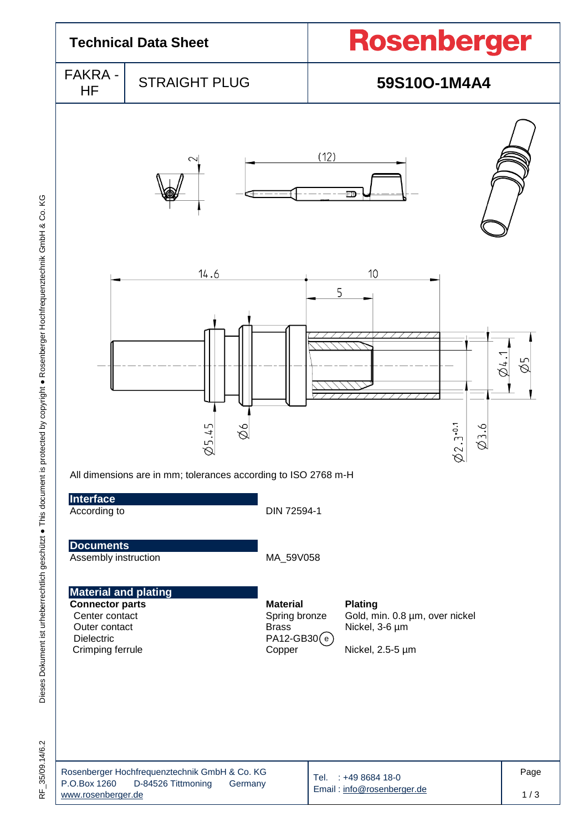| <b>Technical Data Sheet</b>                                                                                                |                                                                                       |                                                                              | Rosenberger                                          |                                |             |  |
|----------------------------------------------------------------------------------------------------------------------------|---------------------------------------------------------------------------------------|------------------------------------------------------------------------------|------------------------------------------------------|--------------------------------|-------------|--|
| <b>FAKRA -</b><br>HF                                                                                                       | <b>STRAIGHT PLUG</b>                                                                  |                                                                              | 59S10O-1M4A4                                         |                                |             |  |
|                                                                                                                            | 2                                                                                     |                                                                              | (12)<br>FТ                                           |                                |             |  |
|                                                                                                                            | 14.6<br>Ø5.45<br>Øб<br>All dimensions are in mm; tolerances according to ISO 2768 m-H |                                                                              | 10<br>5                                              | $\phi$ 2.3.0.1<br>Э.6          | 1,1<br>Ø5   |  |
| Interface<br>According to                                                                                                  |                                                                                       | DIN 72594-1                                                                  |                                                      |                                |             |  |
| <b>Documents</b><br>Assembly instruction                                                                                   |                                                                                       | MA_59V058                                                                    |                                                      |                                |             |  |
| <b>Material and plating</b><br><b>Connector parts</b><br>Center contact<br>Outer contact<br>Dielectric<br>Crimping ferrule |                                                                                       | <b>Material</b><br>Spring bronze<br><b>Brass</b><br>$PA12-GB30(e)$<br>Copper | <b>Plating</b><br>Nickel, 3-6 µm<br>Nickel, 2.5-5 µm | Gold, min. 0.8 µm, over nickel |             |  |
| P.O.Box 1260<br>www.rosenberger.de                                                                                         | Rosenberger Hochfrequenztechnik GmbH & Co. KG<br>D-84526 Tittmoning<br>Germany        |                                                                              | Tel. : +49 8684 18-0<br>Email: info@rosenberger.de   |                                | Page<br>1/3 |  |

 $\propto$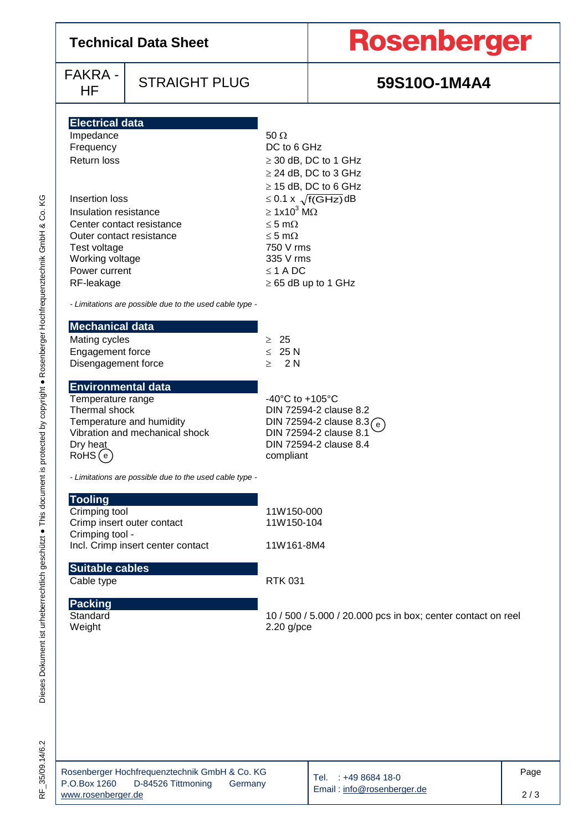|                          | <b>Technical Data Sheet</b> | <b>Rosenberger</b> |  |  |
|--------------------------|-----------------------------|--------------------|--|--|
| $FAKRA -  $<br><b>HF</b> | STRAIGHT PLUG               | 59S10O-1M4A4       |  |  |

### STRAIGHT PLUG **1200-1M4A4**

| <b>Electrical data</b> |  |
|------------------------|--|
|                        |  |
|                        |  |
|                        |  |

| Impedance                 | 50 $\Omega$                     |
|---------------------------|---------------------------------|
| Frequency                 | DC to 6 GHz                     |
| Return loss               | $\geq$ 30 dB, DC to 1 GHz       |
|                           | $\geq$ 24 dB, DC to 3 GHz       |
|                           | $\geq$ 15 dB, DC to 6 GHz       |
| Insertion loss            | $\leq$ 0.1 x $\sqrt{f(GHz)}$ dB |
| Insulation resistance     | $\geq 1x10^3$ M $\Omega$        |
| Center contact resistance | $\leq$ 5 m $\Omega$             |
| Outer contact resistance  | $\leq$ 5 m $\Omega$             |
| Test voltage              | 750 V rms                       |
| Working voltage           | 335 V rms                       |
| Power current             | $\leq$ 1 A DC                   |
| RF-leakage                | $\geq$ 65 dB up to 1 GHz        |

*- Limitations are possible due to the used cable type -*

| Mechanical data         |             |
|-------------------------|-------------|
| Mating cycles           | > 25        |
| <b>Engagement force</b> | $\leq 25 N$ |
| Disengagement force     | > 2N        |

#### **Environmental data**

| Temperature range              | -40 $^{\circ}$ C to +105 $^{\circ}$ C |
|--------------------------------|---------------------------------------|
| Thermal shock                  | DIN 72594-2 clause 8.2                |
| Temperature and humidity       | DIN 72594-2 clause 8.3 $\binom{ }{e}$ |
| Vibration and mechanical shock | DIN 72594-2 clause 8.1                |
|                                | DIN 72594-2 clause 8.4                |
| Dry heat<br>RoHS (e)           | compliant                             |
|                                |                                       |

*- Limitations are possible due to the used cable type -*

| <b>Tooling</b>                    |            |
|-----------------------------------|------------|
| Crimping tool                     | 11W150-000 |
| Crimp insert outer contact        | 11W150-104 |
| Crimping tool -                   |            |
| Incl. Crimp insert center contact | 11W161-8M4 |
|                                   |            |

### **Suitable cables**

Cable type RTK 031

# **Packing**<br>Standard<br>Weight

10 / 500 / 5.000 / 20.000 pcs in box; center contact on reel  $2.20$  g/pce

| Rosenberger Hochfrequenztechnik GmbH & Co. KG |                    |         |
|-----------------------------------------------|--------------------|---------|
| P.O.Box 1260                                  | D-84526 Tittmoning | Germany |
| www.rosenberger.de                            |                    |         |

Tel. : +49 8684 18-0 Email : [info@rosenberger.de](mailto:info@rosenberger.de)